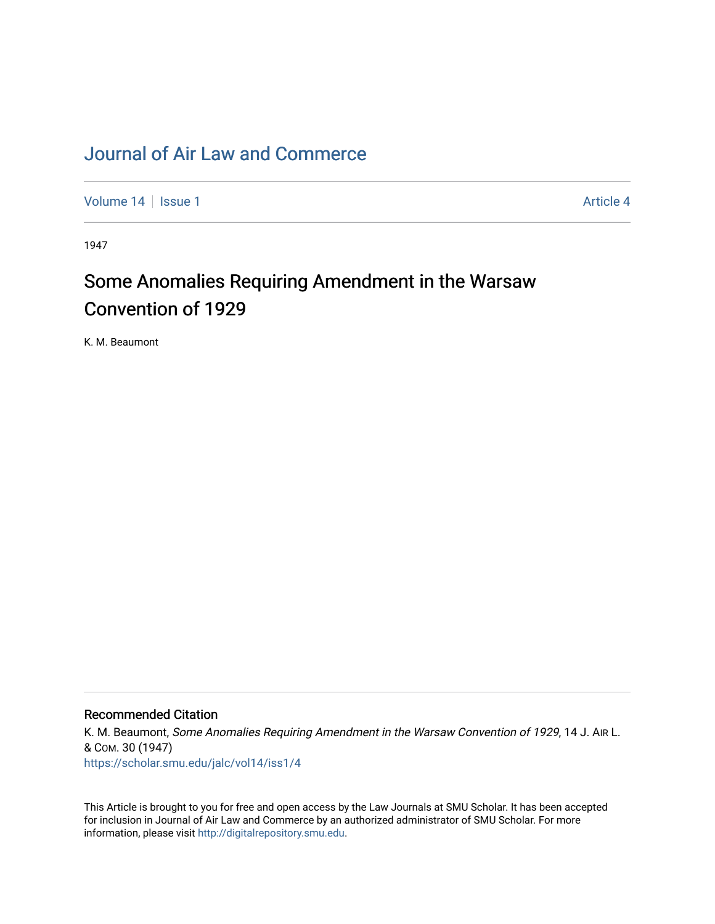# [Journal of Air Law and Commerce](https://scholar.smu.edu/jalc)

[Volume 14](https://scholar.smu.edu/jalc/vol14) | [Issue 1](https://scholar.smu.edu/jalc/vol14/iss1) Article 4

1947

# Some Anomalies Requiring Amendment in the Warsaw Convention of 1929

K. M. Beaumont

# Recommended Citation

K. M. Beaumont, Some Anomalies Requiring Amendment in the Warsaw Convention of 1929, 14 J. AIR L. & COM. 30 (1947) [https://scholar.smu.edu/jalc/vol14/iss1/4](https://scholar.smu.edu/jalc/vol14/iss1/4?utm_source=scholar.smu.edu%2Fjalc%2Fvol14%2Fiss1%2F4&utm_medium=PDF&utm_campaign=PDFCoverPages) 

This Article is brought to you for free and open access by the Law Journals at SMU Scholar. It has been accepted for inclusion in Journal of Air Law and Commerce by an authorized administrator of SMU Scholar. For more information, please visit [http://digitalrepository.smu.edu](http://digitalrepository.smu.edu/).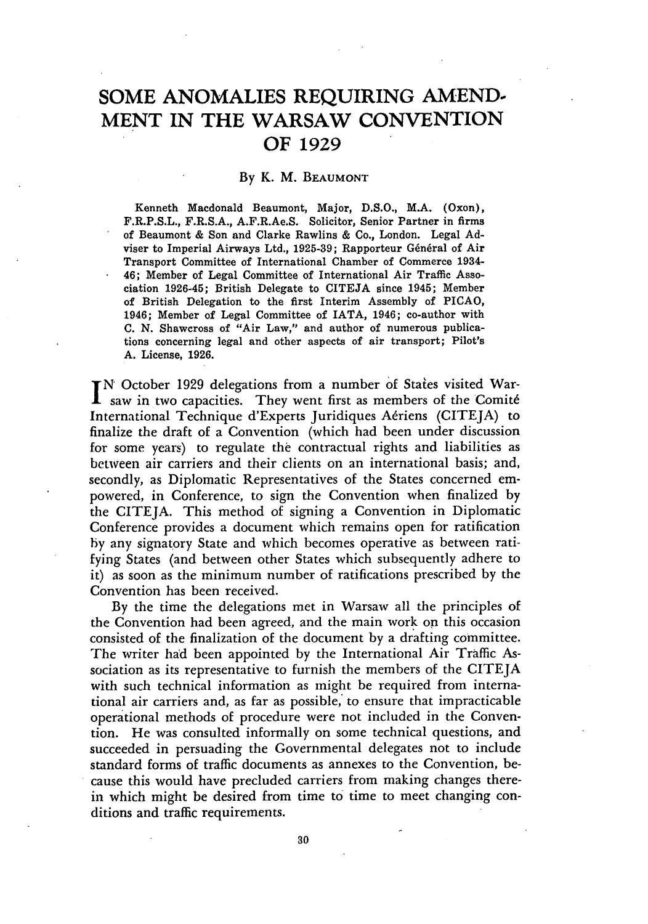# **SOME ANOMALIES** REQUIRING **AMEND-**MENT IN THE WARSAW **CONVENTION** OF **1929**

## **By** K. M. **BEAUMONT**

Kenneth Macdonald Beaumont, Major, **D.S.O.,** M.A. (Oxon), F.R.P.S.L., F.R.S.A., A.F.R.Ae.S. Solicitor, Senior Partner in firms of Beaumont **&** Son and Clarke Rawlins **&** Co., London. Legal **Ad**viser to Imperial Airways Ltd., 1925-39; Rapporteur Général of Air Transport Committee of International Chamber of Commerce 1934- 46; Member of Legal Committee of International Air Traffic Association 1926-45; British Delegate to **CITEJA** since 1945; Member of British Delegation to the first Interim Assembly of PICAO, 1946; Member of Legal Committee of **IATA,** 1946; co-author with **C. N.** Shawcross of "Air Law," and author of numerous publications concerning legal and other aspects of air transport; Pilot's **A.** License, **1926.**

**N'** October 1929 delegations from a number **of** States visited Warsaw in two capacities. They went first as members of the Comité International Technique d'Experts Juridiques Aériens (CITEJA) to finalize the draft of a Convention (which had been under discussion for some years) to regulate the contractual rights and liabilities as between air carriers and their clients on an international basis; and, secondly, as Diplomatic Representatives of the States concerned empowered, in Conference, to sign the Convention when finalized by the CITEJA. This method of signing a Convention in Diplomatic Conference provides a document which remains open for ratification **by** any signatory State and which becomes operative as between ratifying States (and between other States which subsequently adhere to it) as soon as the minimum number of ratifications prescribed by the Convention has been received.

By the time the delegations met in Warsaw all the principles of the Convention had been agreed, and the main work on this occasion consisted of the finalization of the document by a drafting committee. The writer had been appointed by the International Air Traffic Association as its representative to furnish the members of the CITEJA with such technical information as might be required from international air carriers and, as far as possible, to ensure that impracticable operational methods of procedure were not included in the Convention. He was consulted informally on some technical questions, and succeeded in persuading the Governmental delegates not to include standard forms of traffic documents as annexes to the Convention, because this would have precluded carriers from making changes therein which might be desired from time to time to meet changing conditions and traffic requirements.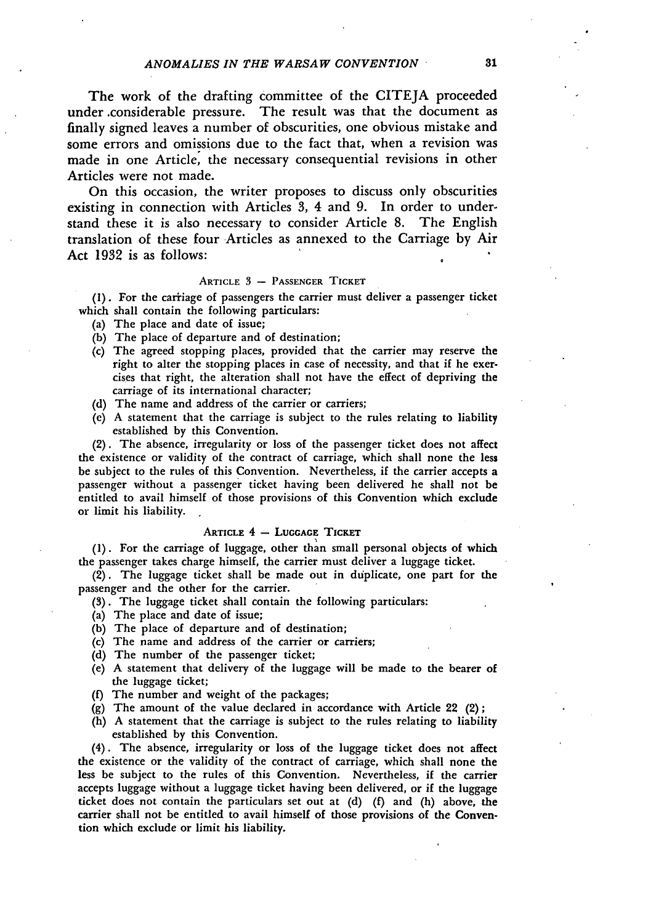The work of the drafting committee of the CITEJA proceeded under .considerable pressure. The result was that the document as finally signed leaves a number of obscurities, one obvious mistake and some errors and omissions due to the fact that, when a revision was made in one Article, the necessary consequential revisions in other Articles were not made.

On this occasion, the writer proposes to discuss only obscurities existing in connection with Articles 3, 4 and **9.** In order to understand these it is also necessary to consider Article **8.** The English translation of these four Articles as annexed to the Carriage **by** Air Act **1932** is as follows:

### **ARTICLE 3 - PASSENGER TICKET**

**(1).** For the cariage of passengers the carrier must deliver a passenger ticket which shall contain the following particulars:

- (a) The place and date of issue;
- **(b)** The place of departure and of destination;
- (c) The agreed stopping places, provided that the carrier may reserve the right to alter the stopping places in case of necessity, and that if he exercises that right, the alteration shall not have the effect of depriving the carriage of its international character;
- **(d)** The name and address of the carrier or carriers;
- **(e) A** statement that the carriage is subject to the rules relating to liability established **by** this Convention.

(2). The absence, irregularity or loss of the passenger ticket does not affect the existence or validity of the contract of carriage, which shall none the less be subject to the rules of this Convention. Nevertheless, if the carrier accepts a passenger without a passenger ticket having been delivered he shall not be entitled to avail himself of those provisions of this Convention which exclude or limit his liability.

#### **ARTICLE** 4 **-** LUGGAGE TICKET

**(1).** For the carriage of luggage, other than small personal objects of which the passenger takes charge himself, the carrier must deliver a luggage ticket.

 $(2)$ . The luggage ticket shall be made out in duplicate, one part for the passenger and the other for the carrier.

- (3). The luggage ticket shall contain the following particulars:
- (a) The place and date of issue;
- **(b)** The place of departure and of destination;
- (c) The name and address of the carrier or carriers;
- (d) The number of the passenger ticket;
- (e) A statement that delivery of the luggage will be made to the bearer of the luggage ticket;
- (f) The number and weight of the packages;
- **(g)** The amount of the value declared in accordance with Article 22 (2);
- (h) A statement that the carriage is subject to the rules relating to liability established by this Convention.

(4). The absence, irregularity or loss of the luggage ticket does not affect the existence or the validity of the contract of carriage, which shall none the less be subject to the rules of this Convention. Nevertheless, if the carrier accepts luggage without a luggage ticket having been delivered, or if the luggage ticket does not contain the particulars set out at (d) (f) and (h) above, the carrier shall not be entitled to avail himself of those provisions of the Convention which exclude or limit his liability.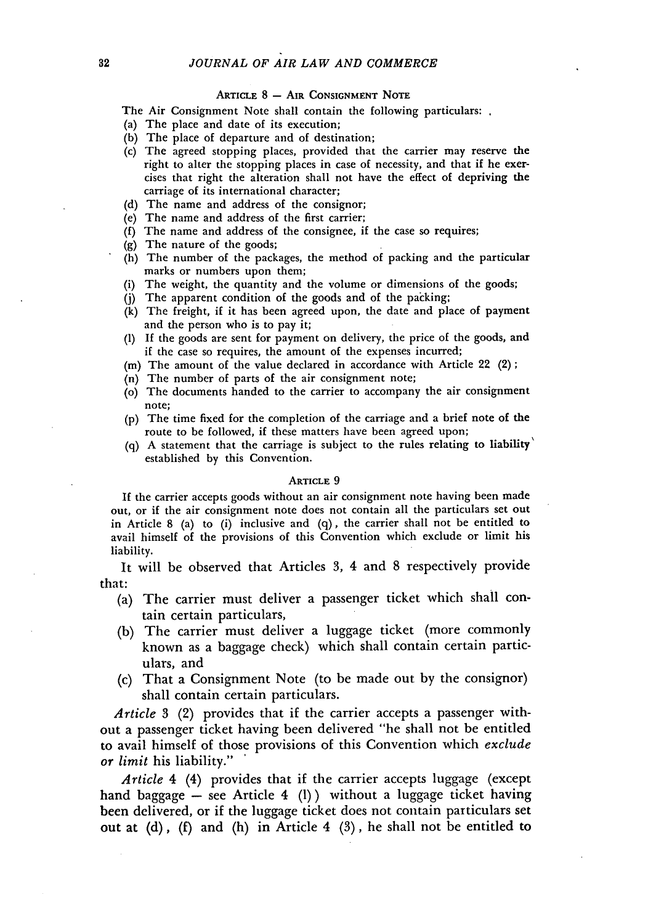### **ARTICLE 8 - AIR CONSIGNMENT NOTE**

- The Air Consignment Note shall contain the following particulars:
- (a) The place and date of its execution;
- (b) The place of departure and of destination;
- (c) The agreed stopping places, provided that the carrier may reserve the right to alter the stopping places in case of necessity, and that if he exercises that right the alteration shall not have the effect of depriving the carriage of its international character;
- (d) The name and address of the consignor;
- (e) The name and address of the first carrier;
- (f) The name and address of the consignee, if the case so requires;
- (g) The nature of the goods;
- (h) The number of the packages, the method of packing and the particular marks or numbers upon them;
- (i) The weight, the quantity and the volume or dimensions of the goods;
- (j) The apparent condition of the goods and of the paking;
- (k) The freight, if it has been agreed upon, the date and place of payment and the person who is to pay it;
- (1) If the goods are sent for payment on delivery, the price of the goods, and if the case so requires, the amount of the expenses incurred;
- (m) The amount of the value declared in accordance with Article 22 (2);
- (n) The number of parts of the air consignment note;
- (o) The documents handed to the carrier to accompany the air consignment note;
- (p) The time fixed for the completion of the carriage and a brief note of the route to be followed, if these matters have been agreed upon;
- (q) A statement that the carriage is subject to the rules relating to liability' established by this Convention.

#### **ARTICLE 9**

**If** the carrier accepts goods without an air consignment note having been made out, or if the air consignment note does not contain all the particulars set out in Article **8** (a) to (i) inclusive and (q), the carrier shall not be entitled to avail himself of the provisions of this Convention which exclude or limit his liability.

It will be observed that Articles 3, 4 and 8 respectively provide that:

- (a) The carrier must deliver a passenger ticket which shall contain certain particulars,
- (b) The carrier must deliver a luggage ticket (more commonly known as a baggage check) which shall contain certain particulars, and
- (c) That a Consignment Note (to be made out by the consignor) shall contain certain particulars.

*Article* 3 (2) provides that if the carrier accepts a passenger without a passenger ticket having been delivered "he shall not be entitled to avail himself of those provisions of this Convention which *exclude* or *limit* his liability."

*Article* 4 (4) provides that if the carrier accepts luggage (except hand baggage  $-$  see Article 4 (1)) without a luggage ticket having been delivered, or if the luggage ticket does not contain particulars set out at (d), **(f)** and (h) in Article 4 (3), he shall not be entitled to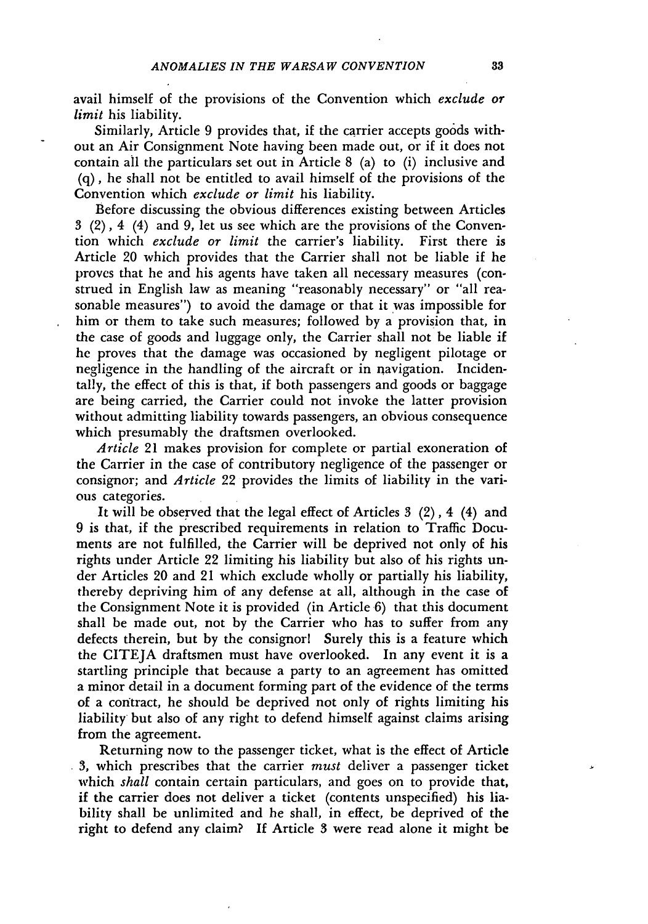avail himself of the provisions of the Convention which *exclude or limit* his liability.

Similarly, Article 9 provides that, if the carrier accepts goods without an Air Consignment Note having been made out, or if it does not contain all the particulars set out in Article 8 (a) to (i) inclusive and (q), he shall not be entitled to avail himself of the provisions of the Convention which *exclude or limit* his liability.

Before discussing the obvious differences existing between Articles 3 (2), 4 (4) and 9, let us see which are the provisions of the Convention which *exclude or limit* the carrier's liability. First there is Article 20 which provides that the Carrier shall not be liable if he proves that he and his agents have taken all necessary measures (construed in English law as meaning "reasonably necessary" or "all reasonable measures") to avoid the damage or that it was impossible for him or them to take such measures; followed by a provision that, in the case of goods and luggage only, the Carrier shall not be liable if he proves that the damage was occasioned by negligent pilotage or negligence in the handling of the aircraft or in navigation. Incidentally, the effect of this is that, if both passengers and goods or baggage are being carried, the Carrier could not invoke the latter provision without admitting liability towards passengers, an obvious consequence which presumably the draftsmen overlooked.

*Article* 21 makes provision for complete or partial exoneration of the Carrier in the case of contributory negligence of the passenger or consignor; and *Article* 22 provides the limits of liability in the various categories.

It will be observed that the legal effect of Articles 3 (2), 4 (4) and 9 is that, if the prescribed requirements in relation to Traffic Documents are not fulfilled, the Carrier will be deprived not only of his rights under Article 22 limiting his liability but also of his rights under Articles 20 and 21 which exclude wholly or partially his liability, thereby depriving him of any defense at all, although in the case of the Consignment Note it is provided (in Article 6) that this document shall be made out, not by the Carrier who has to suffer from any defects therein, but by the consignor! Surely this is a feature which the CITEJA draftsmen must have overlooked. In any event it is a startling principle that because a party to an agreement has omitted a minor detail in a document forming part of the evidence of the terms of a contract, he should be deprived not only of rights limiting his liability but also of any right to defend himself against claims arising from the agreement.

Returning now to the passenger ticket, what is the effect of Article 3, which prescribes that the carrier *must* deliver a passenger ticket which *shall* contain certain particulars, and goes on to provide that, if the carrier does not deliver a ticket (contents unspecified) his liability shall be unlimited and he shall, in effect, be deprived of the right to defend any claim? If Article 3 were read alone it might be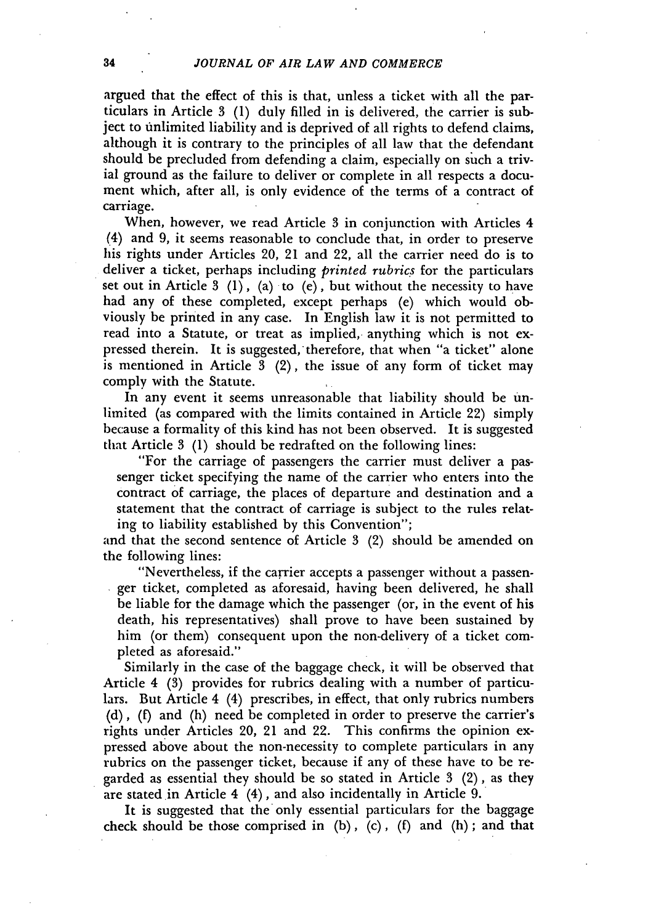argued that the effect of this is that, unless a ticket with all the particulars in Article **3 (1)** duly filled in is delivered, the carrier is subject to unlimited liability and is deprived of all rights to defend claims, although it is contrary to the principles of all law that the defendant should be precluded from defending a claim, especially on such a trivial ground as the failure to deliver or complete in all respects a document which, after all, is only evidence of the terms of a contract of carriage.

When, however, we read Article **3** in conjunction with Articles 4 (4) and **9,** it seems reasonable to conclude that, in order to preserve his rights under Articles 20, 21 and 22, all the carrier need do is to deliver a ticket, perhaps including *printed rubrics* for the particulars set out in Article  $3$  (1), (a) to (e), but without the necessity to have had any of these completed, except perhaps (e) which would obviously be printed in any case. In English law it is not permitted to read into a Statute, or treat as implied, anything which is not expressed therein. It is suggested, therefore, that when "a ticket" alone is mentioned in Article **3** (2), the issue of any form of ticket may comply with the Statute. **.**

In any event it seems unreasonable that liability should be unlimited (as compared with the limits contained in Article 22) simply because a formality of this kind has not been observed. It is suggested that Article **3** (1) should be redrafted on the following lines:

"For the carriage of passengers the carrier must deliver a passenger ticket specifying the name of the carrier who enters into the contract of carriage, the places of departure and destination and a statement that the contract of carriage is subject to the rules relating to liability established by this Convention";

and that the second sentence of Article 3 (2) should be amended on the following lines:

"Nevertheless, if the carrier accepts a passenger without a passenger ticket, completed as aforesaid, having been delivered, he shall be liable for the damage which the passenger (or, in the event of his death, his representatives) shall prove to have been sustained **by** him (or them) consequent upon the non-delivery of a ticket completed as aforesaid."

Similarly in the case of the baggage check, it will be observed that Article 4 **(3)** provides for rubrics dealing with a number of particulars. But Article 4 (4) prescribes, in effect, that only rubrics numbers (d), **(f)** and (h) need be completed in order to preserve the carrier's rights under Articles 20, 21 and 22. This confirms the opinion expressed above about the non-necessity to complete particulars in any rubrics on the passenger ticket, because if any of these have to be regarded as essential they should be so stated in Article **3** (2), as they are stated in Article 4 (4), and also incidentally in Article **9.**

It is suggested that the only essential particulars for the baggage check should be those comprised in (b), (c), **(f)** and (h); and that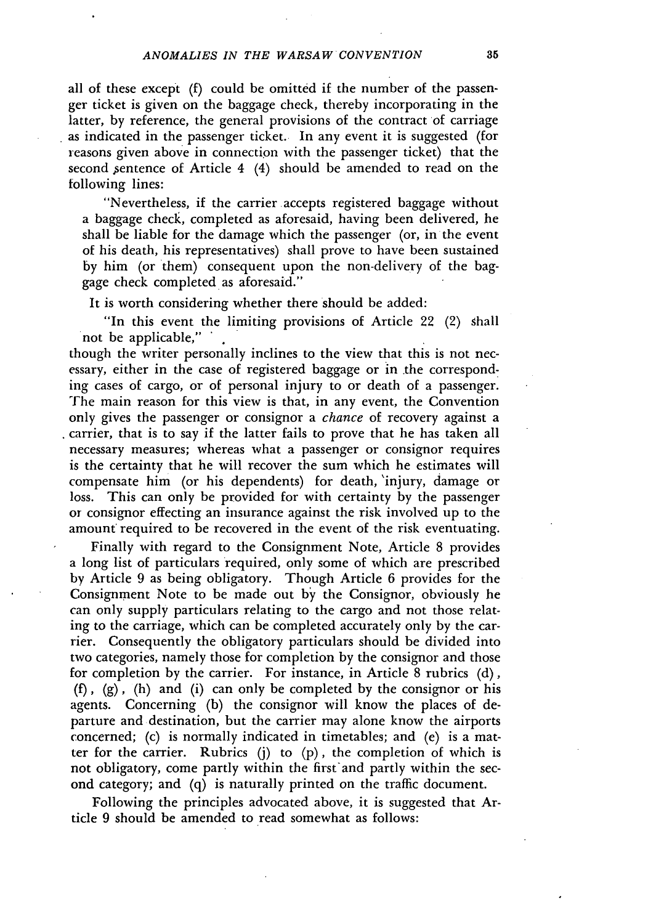all of these except (f) could be omitted if the number of the passenger ticket is given on the baggage check, thereby incorporating in the latter, by reference, the general provisions of the contract of carriage as indicated in the passenger ticket. In any event it is suggested (for reasons given above in connection with the passenger ticket) that the second sentence of Article 4 (4) should be amended to read on the following lines:

"Nevertheless, if the carrier accepts registered baggage without a baggage check, completed as aforesaid, having been delivered, he shall be liable for the damage which the passenger (or, in the event of his death, his representatives) shall prove to have been sustained by him (or them) consequent upon the non-delivery of the baggage check completed as aforesaid."

It is worth considering whether there should be added:

"In this event the limiting provisions of Article 22 (2) shall not be applicable,"

though the writer personally inclines to the view that this is not necessary, either in the case of registered baggage or in the corresponding cases of cargo, or of personal injury to or death of a passenger. The main reason for this view is that, in any event, the Convention only gives the passenger or consignor a *chance* of recovery against a carrier, that is to say if the latter fails to prove that he has taken all necessary measures; whereas what a passenger or consignor requires is the certainty that he will recover the sum which he estimates will compensate him (or his dependents) for death, 'injury, damage or loss. This can only be provided for with certainty by the passenger or consignor effecting an insurance against the risk involved up to the amount' required to be recovered in the event of the risk eventuating.

Finally with regard to the Consignment Note, Article 8 provides a long list of particulars required, only some of which are prescribed by Article 9 as being obligatory. Though Article 6 provides for the Consignment Note to be made out **by** the Consignor, obviously he can only supply particulars relating to the cargo and not those relating to the carriage, which can be completed accurately only by the carrier. Consequently the obligatory particulars should be divided into two categories, namely those for completion by the consignor and those for completion by the carrier. For instance, in Article 8 rubrics (d), **(f),** (g), (h) and (i) can only be completed by the consignor or his agents. Concerning (b) the consignor will know the places of departure and destination, but the carrier may alone know the airports concerned; (c) is normally indicated in timetables; and (e) is a matter for the carrier. Rubrics (j) to (p), the completion of which is not obligatory, come partly within the first'and partly within the second category; and (q) is naturally printed on the traffic document.

Following the principles advocated above, it is suggested that Article 9 should be amended to read somewhat as follows: